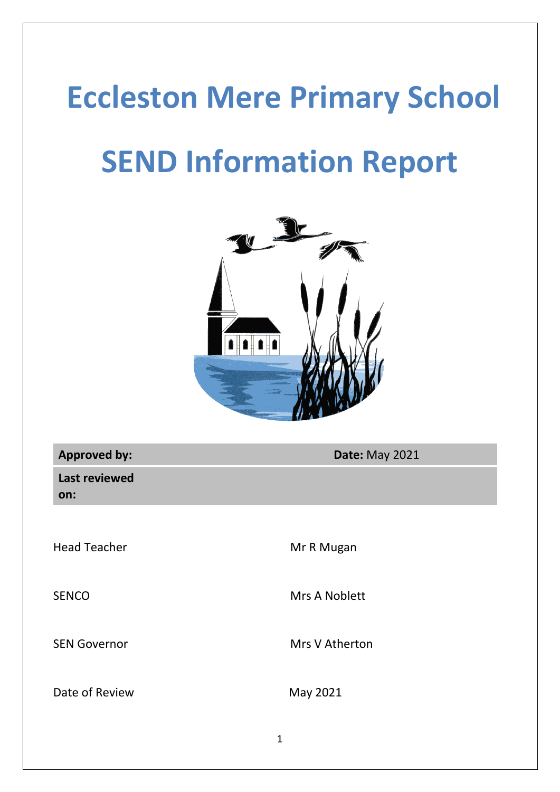# **Eccleston Mere Primary School**

# **SEND Information Report**



| <b>Approved by:</b>         | <b>Date: May 2021</b> |
|-----------------------------|-----------------------|
| <b>Last reviewed</b><br>on: |                       |
|                             |                       |
| <b>Head Teacher</b>         | Mr R Mugan            |
| <b>SENCO</b>                | Mrs A Noblett         |
| <b>SEN Governor</b>         | Mrs V Atherton        |
| Date of Review              | May 2021              |
|                             |                       |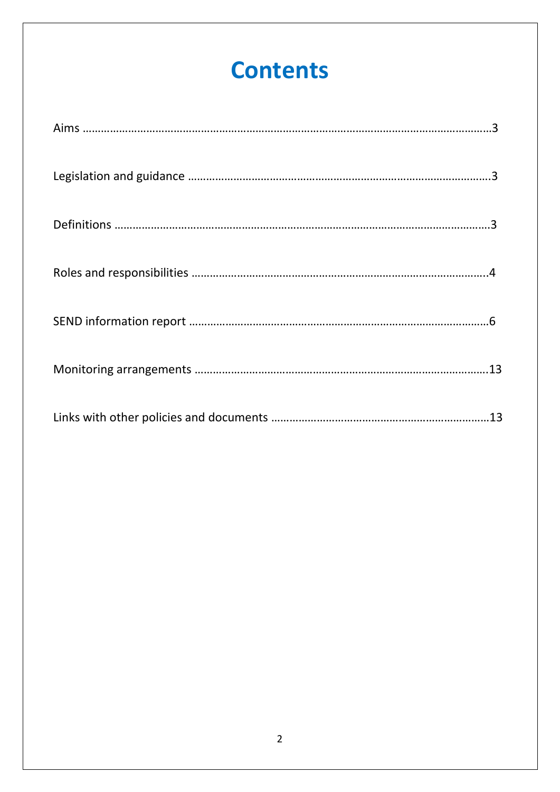## **Contents**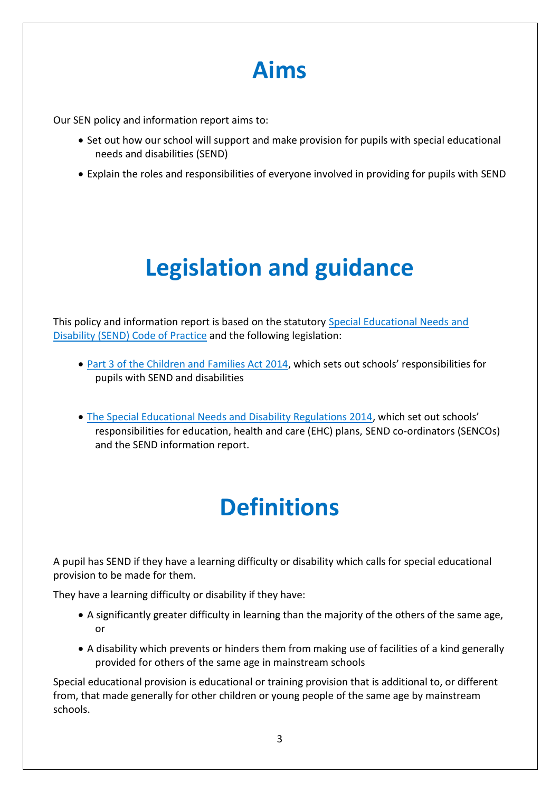## **Aims**

Our SEN policy and information report aims to:

- Set out how our school will support and make provision for pupils with special educational needs and disabilities (SEND)
- Explain the roles and responsibilities of everyone involved in providing for pupils with SEND

## **Legislation and guidance**

This policy and information report is based on the statutory [Special Educational Needs](https://www.gov.uk/government/uploads/system/uploads/attachment_data/file/398815/SEND_Code_of_Practice_January_2015.pdf) and [Disability \(SEND\) Code of Practice](https://www.gov.uk/government/uploads/system/uploads/attachment_data/file/398815/SEND_Code_of_Practice_January_2015.pdf) and the following legislation:

- [Part 3 of the Children and Families Act 2014](http://www.legislation.gov.uk/ukpga/2014/6/part/3), which sets out schools' responsibilities for pupils with SEND and disabilities
- [The Special Educational Needs and Disability Regulations 2014,](http://www.legislation.gov.uk/uksi/2014/1530/contents/made) which set out schools' responsibilities for education, health and care (EHC) plans, SEND co-ordinators (SENCOs) and the SEND information report.

## **Definitions**

A pupil has SEND if they have a learning difficulty or disability which calls for special educational provision to be made for them.

They have a learning difficulty or disability if they have:

- A significantly greater difficulty in learning than the majority of the others of the same age, or
- A disability which prevents or hinders them from making use of facilities of a kind generally provided for others of the same age in mainstream schools

Special educational provision is educational or training provision that is additional to, or different from, that made generally for other children or young people of the same age by mainstream schools.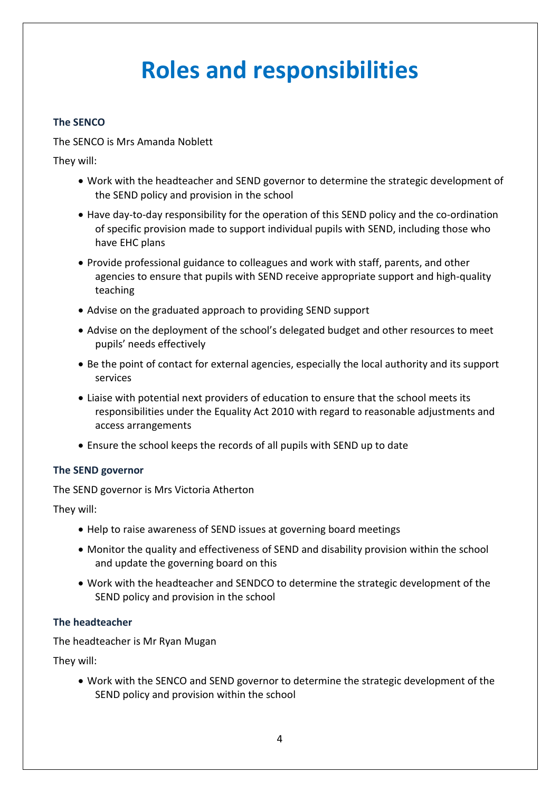## **Roles and responsibilities**

#### **The SENCO**

The SENCO is Mrs Amanda Noblett

They will:

- Work with the headteacher and SEND governor to determine the strategic development of the SEND policy and provision in the school
- Have day-to-day responsibility for the operation of this SEND policy and the co-ordination of specific provision made to support individual pupils with SEND, including those who have EHC plans
- Provide professional guidance to colleagues and work with staff, parents, and other agencies to ensure that pupils with SEND receive appropriate support and high-quality teaching
- Advise on the graduated approach to providing SEND support
- Advise on the deployment of the school's delegated budget and other resources to meet pupils' needs effectively
- Be the point of contact for external agencies, especially the local authority and its support services
- Liaise with potential next providers of education to ensure that the school meets its responsibilities under the Equality Act 2010 with regard to reasonable adjustments and access arrangements
- Ensure the school keeps the records of all pupils with SEND up to date

#### **The SEND governor**

The SEND governor is Mrs Victoria Atherton

They will:

- Help to raise awareness of SEND issues at governing board meetings
- Monitor the quality and effectiveness of SEND and disability provision within the school and update the governing board on this
- Work with the headteacher and SENDCO to determine the strategic development of the SEND policy and provision in the school

#### **The headteacher**

The headteacher is Mr Ryan Mugan

They will:

• Work with the SENCO and SEND governor to determine the strategic development of the SEND policy and provision within the school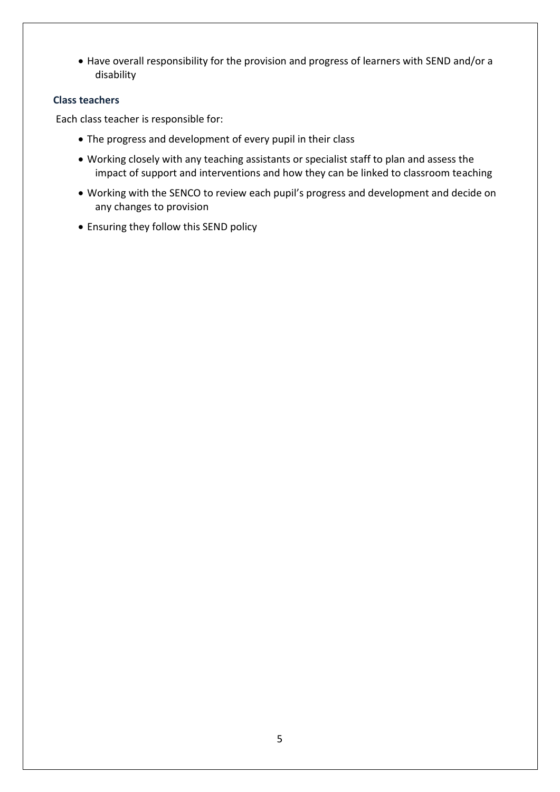• Have overall responsibility for the provision and progress of learners with SEND and/or a disability

#### **Class teachers**

Each class teacher is responsible for:

- The progress and development of every pupil in their class
- Working closely with any teaching assistants or specialist staff to plan and assess the impact of support and interventions and how they can be linked to classroom teaching
- Working with the SENCO to review each pupil's progress and development and decide on any changes to provision
- Ensuring they follow this SEND policy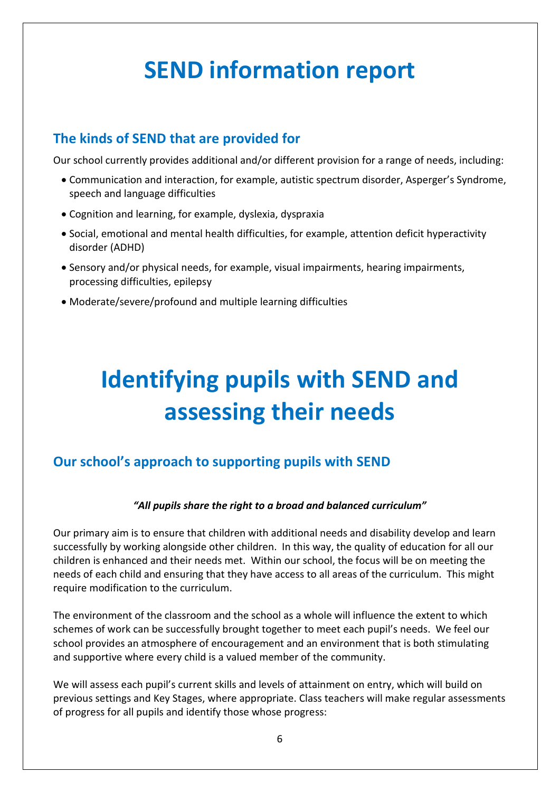## **SEND information report**

### **The kinds of SEND that are provided for**

Our school currently provides additional and/or different provision for a range of needs, including:

- Communication and interaction, for example, autistic spectrum disorder, Asperger's Syndrome, speech and language difficulties
- Cognition and learning, for example, dyslexia, dyspraxia
- Social, emotional and mental health difficulties, for example, attention deficit hyperactivity disorder (ADHD)
- Sensory and/or physical needs, for example, visual impairments, hearing impairments, processing difficulties, epilepsy
- Moderate/severe/profound and multiple learning difficulties

# **Identifying pupils with SEND and assessing their needs**

### **Our school's approach to supporting pupils with SEND**

#### *"All pupils share the right to a broad and balanced curriculum"*

Our primary aim is to ensure that children with additional needs and disability develop and learn successfully by working alongside other children. In this way, the quality of education for all our children is enhanced and their needs met. Within our school, the focus will be on meeting the needs of each child and ensuring that they have access to all areas of the curriculum. This might require modification to the curriculum.

The environment of the classroom and the school as a whole will influence the extent to which schemes of work can be successfully brought together to meet each pupil's needs. We feel our school provides an atmosphere of encouragement and an environment that is both stimulating and supportive where every child is a valued member of the community.

We will assess each pupil's current skills and levels of attainment on entry, which will build on previous settings and Key Stages, where appropriate. Class teachers will make regular assessments of progress for all pupils and identify those whose progress: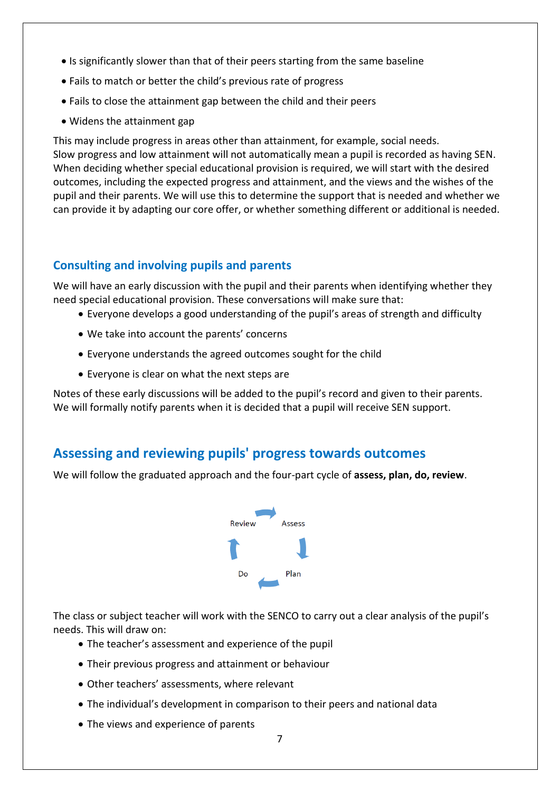- Is significantly slower than that of their peers starting from the same baseline
- Fails to match or better the child's previous rate of progress
- Fails to close the attainment gap between the child and their peers
- Widens the attainment gap

This may include progress in areas other than attainment, for example, social needs. Slow progress and low attainment will not automatically mean a pupil is recorded as having SEN. When deciding whether special educational provision is required, we will start with the desired outcomes, including the expected progress and attainment, and the views and the wishes of the pupil and their parents. We will use this to determine the support that is needed and whether we can provide it by adapting our core offer, or whether something different or additional is needed.

#### **Consulting and involving pupils and parents**

We will have an early discussion with the pupil and their parents when identifying whether they need special educational provision. These conversations will make sure that:

- Everyone develops a good understanding of the pupil's areas of strength and difficulty
- We take into account the parents' concerns
- Everyone understands the agreed outcomes sought for the child
- Everyone is clear on what the next steps are

Notes of these early discussions will be added to the pupil's record and given to their parents. We will formally notify parents when it is decided that a pupil will receive SEN support.

#### **Assessing and reviewing pupils' progress towards outcomes**

We will follow the graduated approach and the four-part cycle of **assess, plan, do, review**.



The class or subject teacher will work with the SENCO to carry out a clear analysis of the pupil's needs. This will draw on:

- The teacher's assessment and experience of the pupil
- Their previous progress and attainment or behaviour
- Other teachers' assessments, where relevant
- The individual's development in comparison to their peers and national data
- The views and experience of parents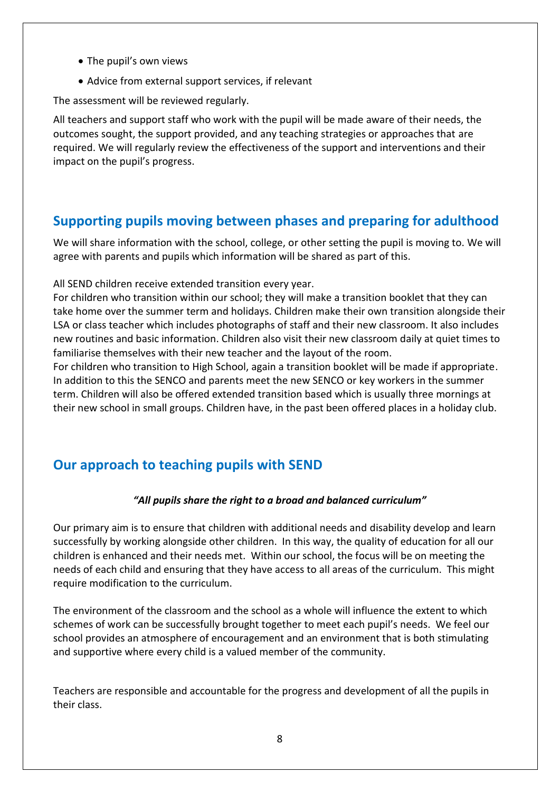- The pupil's own views
- Advice from external support services, if relevant

The assessment will be reviewed regularly.

All teachers and support staff who work with the pupil will be made aware of their needs, the outcomes sought, the support provided, and any teaching strategies or approaches that are required. We will regularly review the effectiveness of the support and interventions and their impact on the pupil's progress.

#### **Supporting pupils moving between phases and preparing for adulthood**

We will share information with the school, college, or other setting the pupil is moving to. We will agree with parents and pupils which information will be shared as part of this.

All SEND children receive extended transition every year.

For children who transition within our school; they will make a transition booklet that they can take home over the summer term and holidays. Children make their own transition alongside their LSA or class teacher which includes photographs of staff and their new classroom. It also includes new routines and basic information. Children also visit their new classroom daily at quiet times to familiarise themselves with their new teacher and the layout of the room.

For children who transition to High School, again a transition booklet will be made if appropriate. In addition to this the SENCO and parents meet the new SENCO or key workers in the summer term. Children will also be offered extended transition based which is usually three mornings at their new school in small groups. Children have, in the past been offered places in a holiday club.

### **Our approach to teaching pupils with SEND**

#### *"All pupils share the right to a broad and balanced curriculum"*

Our primary aim is to ensure that children with additional needs and disability develop and learn successfully by working alongside other children. In this way, the quality of education for all our children is enhanced and their needs met. Within our school, the focus will be on meeting the needs of each child and ensuring that they have access to all areas of the curriculum. This might require modification to the curriculum.

The environment of the classroom and the school as a whole will influence the extent to which schemes of work can be successfully brought together to meet each pupil's needs. We feel our school provides an atmosphere of encouragement and an environment that is both stimulating and supportive where every child is a valued member of the community.

Teachers are responsible and accountable for the progress and development of all the pupils in their class.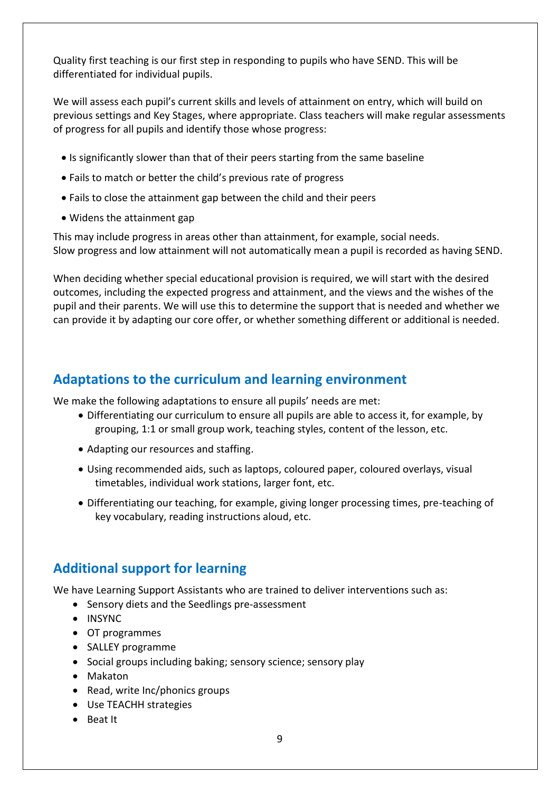Quality first teaching is our first step in responding to pupils who have SEND. This will be differentiated for individual pupils.

We will assess each pupil's current skills and levels of attainment on entry, which will build on previous settings and Key Stages, where appropriate. Class teachers will make regular assessments of progress for all pupils and identify those whose progress:

- Is significantly slower than that of their peers starting from the same baseline
- Fails to match or better the child's previous rate of progress
- Fails to close the attainment gap between the child and their peers
- Widens the attainment gap

This may include progress in areas other than attainment, for example, social needs. Slow progress and low attainment will not automatically mean a pupil is recorded as having SEND.

When deciding whether special educational provision is required, we will start with the desired outcomes, including the expected progress and attainment, and the views and the wishes of the pupil and their parents. We will use this to determine the support that is needed and whether we can provide it by adapting our core offer, or whether something different or additional is needed.

#### **Adaptations to the curriculum and learning environment**

We make the following adaptations to ensure all pupils' needs are met:

- Differentiating our curriculum to ensure all pupils are able to access it, for example, by grouping, 1:1 or small group work, teaching styles, content of the lesson, etc.
- Adapting our resources and staffing.
- Using recommended aids, such as laptops, coloured paper, coloured overlays, visual timetables, individual work stations, larger font, etc.
- Differentiating our teaching, for example, giving longer processing times, pre-teaching of key vocabulary, reading instructions aloud, etc.

#### **Additional support for learning**

We have Learning Support Assistants who are trained to deliver interventions such as:

- Sensory diets and the Seedlings pre-assessment
- INSYNC
- OT programmes
- SALLEY programme
- Social groups including baking; sensory science; sensory play
- Makaton
- Read, write Inc/phonics groups
- Use TEACHH strategies
- Beat It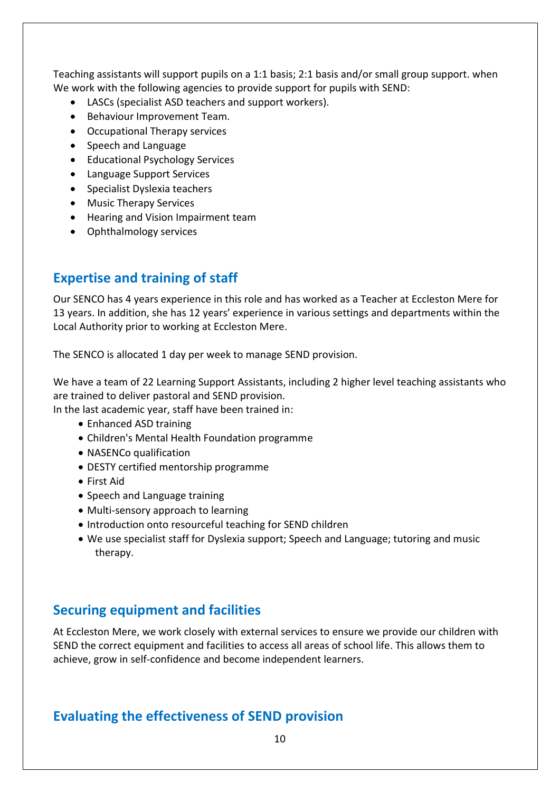Teaching assistants will support pupils on a 1:1 basis; 2:1 basis and/or small group support. when We work with the following agencies to provide support for pupils with SEND:

- LASCs (specialist ASD teachers and support workers).
- Behaviour Improvement Team.
- Occupational Therapy services
- Speech and Language
- Educational Psychology Services
- Language Support Services
- Specialist Dyslexia teachers
- Music Therapy Services
- Hearing and Vision Impairment team
- Ophthalmology services

#### **Expertise and training of staff**

Our SENCO has 4 years experience in this role and has worked as a Teacher at Eccleston Mere for 13 years. In addition, she has 12 years' experience in various settings and departments within the Local Authority prior to working at Eccleston Mere.

The SENCO is allocated 1 day per week to manage SEND provision.

We have a team of 22 Learning Support Assistants, including 2 higher level teaching assistants who are trained to deliver pastoral and SEND provision.

In the last academic year, staff have been trained in:

- Enhanced ASD training
- Children's Mental Health Foundation programme
- NASENCo qualification
- DESTY certified mentorship programme
- First Aid
- Speech and Language training
- Multi-sensory approach to learning
- Introduction onto resourceful teaching for SEND children
- We use specialist staff for Dyslexia support; Speech and Language; tutoring and music therapy.

#### **Securing equipment and facilities**

At Eccleston Mere, we work closely with external services to ensure we provide our children with SEND the correct equipment and facilities to access all areas of school life. This allows them to achieve, grow in self-confidence and become independent learners.

#### **Evaluating the effectiveness of SEND provision**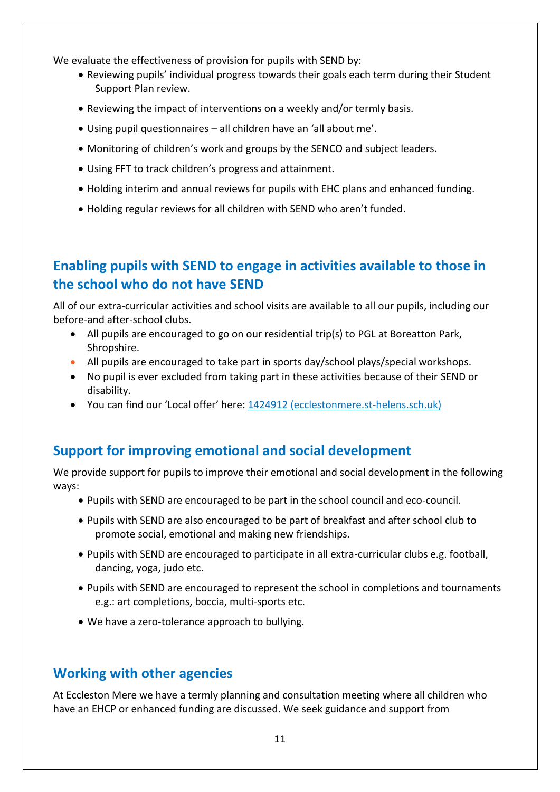We evaluate the effectiveness of provision for pupils with SEND by:

- Reviewing pupils' individual progress towards their goals each term during their Student Support Plan review.
- Reviewing the impact of interventions on a weekly and/or termly basis.
- Using pupil questionnaires all children have an 'all about me'.
- Monitoring of children's work and groups by the SENCO and subject leaders.
- Using FFT to track children's progress and attainment.
- Holding interim and annual reviews for pupils with EHC plans and enhanced funding.
- Holding regular reviews for all children with SEND who aren't funded.

### **Enabling pupils with SEND to engage in activities available to those in the school who do not have SEND**

All of our extra-curricular activities and school visits are available to all our pupils, including our before-and after-school clubs.

- All pupils are encouraged to go on our residential trip(s) to PGL at Boreatton Park, Shropshire.
- All pupils are encouraged to take part in sports day/school plays/special workshops.
- No pupil is ever excluded from taking part in these activities because of their SEND or disability.
- You can find our 'Local offer' here: [1424912 \(ecclestonmere.st-helens.sch.uk\)](http://www.ecclestonmere.st-helens.sch.uk/serve_file/1424912)

### **Support for improving emotional and social development**

We provide support for pupils to improve their emotional and social development in the following ways:

- Pupils with SEND are encouraged to be part in the school council and eco-council.
- Pupils with SEND are also encouraged to be part of breakfast and after school club to promote social, emotional and making new friendships.
- Pupils with SEND are encouraged to participate in all extra-curricular clubs e.g. football, dancing, yoga, judo etc.
- Pupils with SEND are encouraged to represent the school in completions and tournaments e.g.: art completions, boccia, multi-sports etc.
- We have a zero-tolerance approach to bullying.

### **Working with other agencies**

At Eccleston Mere we have a termly planning and consultation meeting where all children who have an EHCP or enhanced funding are discussed. We seek guidance and support from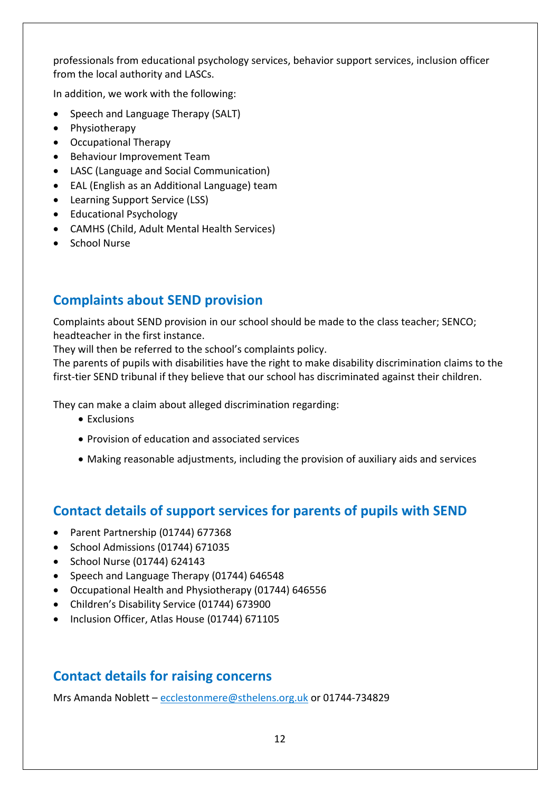professionals from educational psychology services, behavior support services, inclusion officer from the local authority and LASCs.

In addition, we work with the following:

- Speech and Language Therapy (SALT)
- Physiotherapy
- Occupational Therapy
- Behaviour Improvement Team
- LASC (Language and Social Communication)
- EAL (English as an Additional Language) team
- Learning Support Service (LSS)
- Educational Psychology
- CAMHS (Child, Adult Mental Health Services)
- School Nurse

#### **Complaints about SEND provision**

Complaints about SEND provision in our school should be made to the class teacher; SENCO; headteacher in the first instance.

They will then be referred to the school's complaints policy.

The parents of pupils with disabilities have the right to make disability discrimination claims to the first-tier SEND tribunal if they believe that our school has discriminated against their children.

They can make a claim about alleged discrimination regarding:

- Exclusions
- Provision of education and associated services
- Making reasonable adjustments, including the provision of auxiliary aids and services

#### **Contact details of support services for parents of pupils with SEND**

- Parent Partnership (01744) 677368
- School Admissions (01744) 671035
- School Nurse (01744) 624143
- Speech and Language Therapy (01744) 646548
- Occupational Health and Physiotherapy (01744) 646556
- Children's Disability Service (01744) 673900
- Inclusion Officer, Atlas House (01744) 671105

### **Contact details for raising concerns**

Mrs Amanda Noblett – [ecclestonmere@sthelens.org.uk](mailto:ecclestonmere@sthelens.org.uk) or 01744-734829